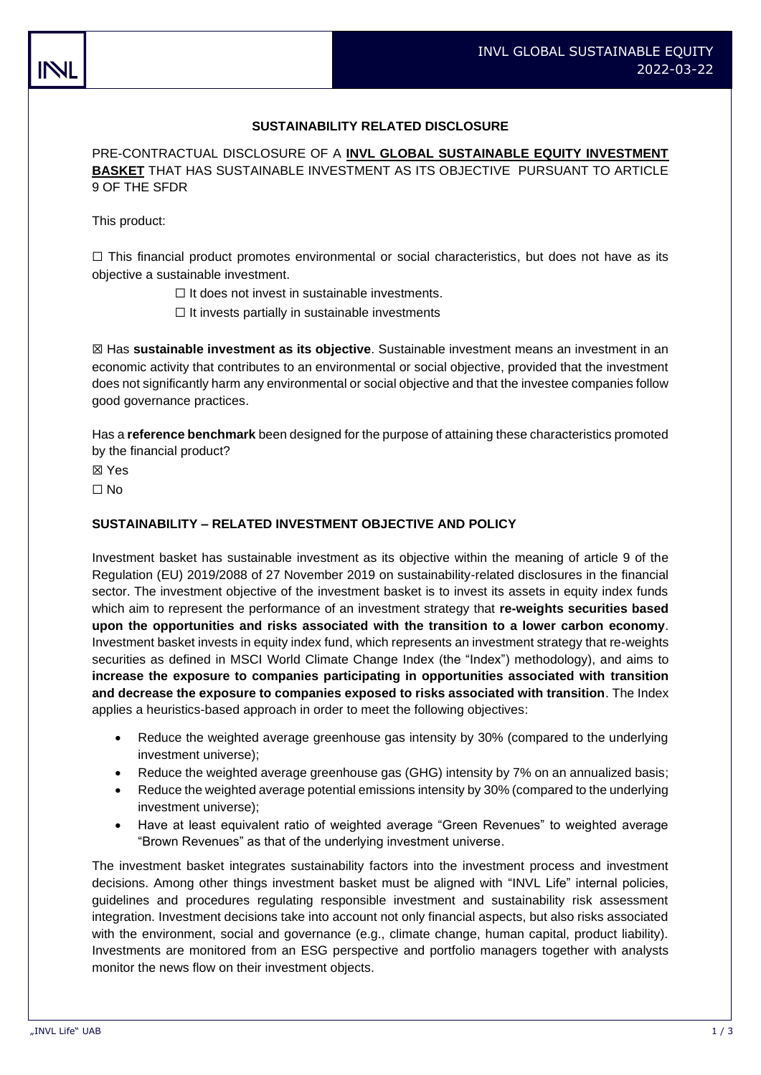# **SUSTAINABILITY RELATED DISCLOSURE**

PRE-CONTRACTUAL DISCLOSURE OF A **INVL GLOBAL SUSTAINABLE EQUITY INVESTMENT BASKET** THAT HAS SUSTAINABLE INVESTMENT AS ITS OBJECTIVE PURSUANT TO ARTICLE 9 OF THE SFDR

This product:

 $\Box$  This financial product promotes environmental or social characteristics, but does not have as its objective a sustainable investment.

☐ It does not invest in sustainable investments.

 $\Box$  It invests partially in sustainable investments

☒ Has **sustainable investment as its objective**. Sustainable investment means an investment in an economic activity that contributes to an environmental or social objective, provided that the investment does not significantly harm any environmental or social objective and that the investee companies follow good governance practices.

Has a **reference benchmark** been designed for the purpose of attaining these characteristics promoted by the financial product?

☒ Yes

☐ No

#### **SUSTAINABILITY – RELATED INVESTMENT OBJECTIVE AND POLICY**

Investment basket has sustainable investment as its objective within the meaning of article 9 of the Regulation (EU) 2019/2088 of 27 November 2019 on sustainability-related disclosures in the financial sector. The investment objective of the investment basket is to invest its assets in equity index funds which aim to represent the performance of an investment strategy that **re-weights securities based upon the opportunities and risks associated with the transition to a lower carbon economy**. Investment basket invests in equity index fund, which represents an investment strategy that re-weights securities as defined in MSCI World Climate Change Index (the "Index") methodology), and aims to **increase the exposure to companies participating in opportunities associated with transition and decrease the exposure to companies exposed to risks associated with transition**. The Index applies a heuristics-based approach in order to meet the following objectives:

- Reduce the weighted average greenhouse gas intensity by 30% (compared to the underlying investment universe);
- Reduce the weighted average greenhouse gas (GHG) intensity by 7% on an annualized basis;
- Reduce the weighted average potential emissions intensity by 30% (compared to the underlying investment universe);
- Have at least equivalent ratio of weighted average "Green Revenues" to weighted average "Brown Revenues" as that of the underlying investment universe.

The investment basket integrates sustainability factors into the investment process and investment decisions. Among other things investment basket must be aligned with "INVL Life" internal policies, guidelines and procedures regulating responsible investment and sustainability risk assessment integration. Investment decisions take into account not only financial aspects, but also risks associated with the environment, social and governance (e.g., climate change, human capital, product liability). Investments are monitored from an ESG perspective and portfolio managers together with analysts monitor the news flow on their investment objects.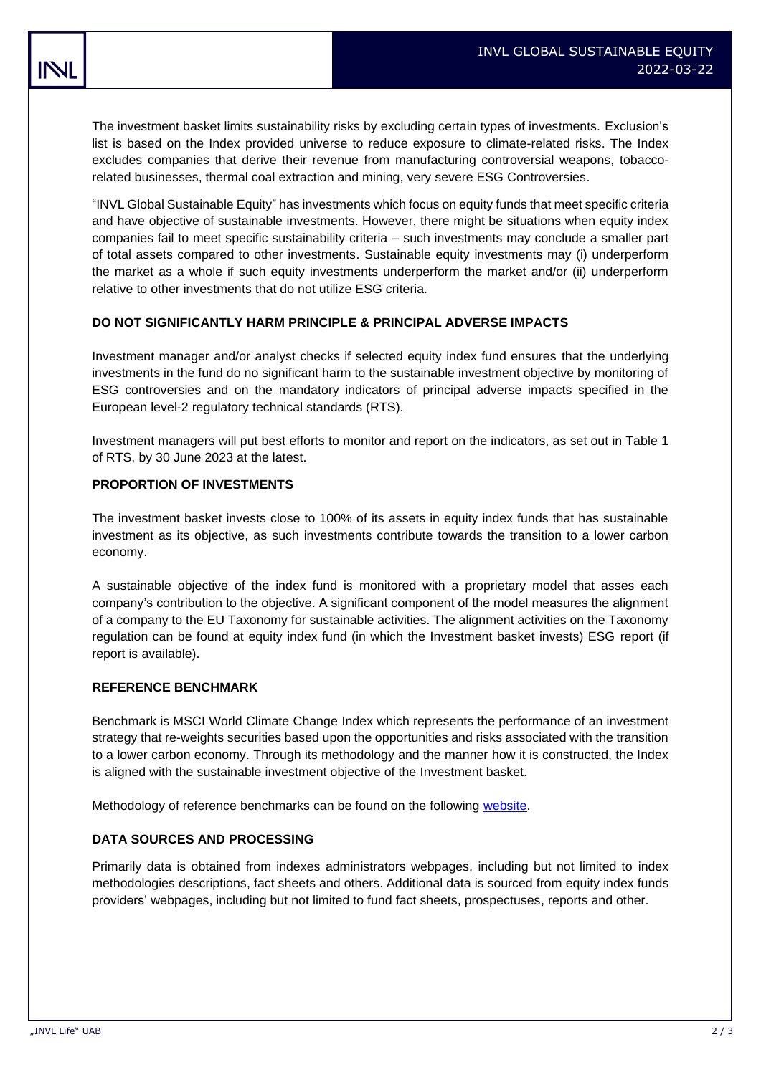The investment basket limits sustainability risks by excluding certain types of investments. Exclusion's list is based on the Index provided universe to reduce exposure to climate-related risks. The Index excludes companies that derive their revenue from manufacturing controversial weapons, tobaccorelated businesses, thermal coal extraction and mining, very severe ESG Controversies.

"INVL Global Sustainable Equity" has investments which focus on equity funds that meet specific criteria and have objective of sustainable investments. However, there might be situations when equity index companies fail to meet specific sustainability criteria – such investments may conclude a smaller part of total assets compared to other investments. Sustainable equity investments may (i) underperform the market as a whole if such equity investments underperform the market and/or (ii) underperform relative to other investments that do not utilize ESG criteria.

### **DO NOT SIGNIFICANTLY HARM PRINCIPLE & PRINCIPAL ADVERSE IMPACTS**

Investment manager and/or analyst checks if selected equity index fund ensures that the underlying investments in the fund do no significant harm to the sustainable investment objective by monitoring of ESG controversies and on the mandatory indicators of principal adverse impacts specified in the European level-2 regulatory technical standards (RTS).

Investment managers will put best efforts to monitor and report on the indicators, as set out in Table 1 of RTS, by 30 June 2023 at the latest.

# **PROPORTION OF INVESTMENTS**

The investment basket invests close to 100% of its assets in equity index funds that has sustainable investment as its objective, as such investments contribute towards the transition to a lower carbon economy.

A sustainable objective of the index fund is monitored with a proprietary model that asses each company's contribution to the objective. A significant component of the model measures the alignment of a company to the EU Taxonomy for sustainable activities. The alignment activities on the Taxonomy regulation can be found at equity index fund (in which the Investment basket invests) ESG report (if report is available).

### **REFERENCE BENCHMARK**

Benchmark is MSCI World Climate Change Index which represents the performance of an investment strategy that re-weights securities based upon the opportunities and risks associated with the transition to a lower carbon economy. Through its methodology and the manner how it is constructed, the Index is aligned with the sustainable investment objective of the Investment basket.

Methodology of reference benchmarks can be found on the following [website.](https://www.msci.com/)

### **DATA SOURCES AND PROCESSING**

Primarily data is obtained from indexes administrators webpages, including but not limited to index methodologies descriptions, fact sheets and others. Additional data is sourced from equity index funds providers' webpages, including but not limited to fund fact sheets, prospectuses, reports and other.